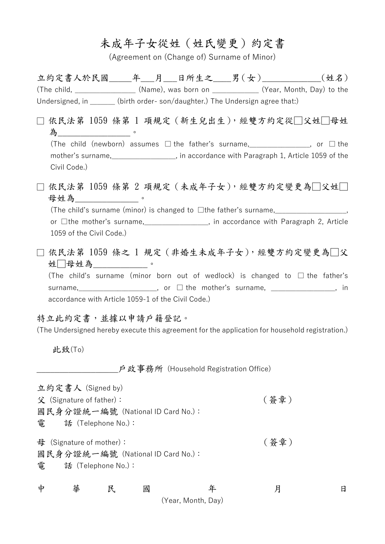## 未成年子女從姓(姓氏變更)約定書

(Agreement on (Change of) Surname of Minor)

立約定書人於民國 年 月 日所生之 男(女) \_\_\_\_\_\_\_\_(姓名) (The child, \_\_\_\_\_\_\_\_\_\_\_\_\_\_\_\_\_ (Name), was born on \_\_\_\_\_\_\_\_\_\_\_\_\_ (Year, Month, Day) to the Undersigned, in \_\_\_\_\_\_\_ (birth order- son/daughter.) The Undersign agree that:)

□ 依民法第 1059 條第 1 項規定 (新生兒出生), 經雙方約定從□父姓□母姓 為 $\hfill \circ$ (The child (newborn) assumes  $\Box$  the father's surname, \_\_\_\_\_\_\_\_\_\_\_\_\_, or  $\Box$  the

mother's surname, \_\_\_\_\_\_\_\_\_\_\_\_\_\_\_\_, in accordance with Paragraph 1, Article 1059 of the Civil Code.)

## □ 依民法第 1059 條第 2 項規定 (未成年子女),經雙方約定變更為□父姓□ 母姓為

(The child's surname (minor) is changed to  $\Box$ the father's surname, or □the mother's surname, \_\_\_\_\_\_\_\_\_\_\_\_\_\_\_, in accordance with Paragraph 2, Article 1059 of the Civil Code.)

□ 依民法第 1059 條之 1 規定 (非婚生未成年子女), 經雙方約定變更為□父 姓□母姓為\_\_\_\_\_\_\_\_\_\_\_\_。 (The child's surname (minor born out of wedlock) is changed to  $\Box$  the father's surname,  $\qquad \qquad \qquad \qquad \qquad \qquad \qquad \qquad \qquad \qquad \text{or} \quad \Box \text{ the mother's surname, } \qquad \qquad \qquad \qquad \qquad \qquad \qquad \qquad \text{in}$ accordance with Article 1059-1 of the Civil Code.)

## 特立此約定書,並據以申請戶籍登記。

(The Undersigned hereby execute this agreement for the application for household registration.)

此致(To)

\_\_\_\_\_\_\_\_\_\_\_\_\_\_\_\_\_\_戶政事務所 (Household Registration Office)

(Year, Month, Day)

|                                                                                                      | 立約定書人 (Signed by)    |   |   |   |        |  |
|------------------------------------------------------------------------------------------------------|----------------------|---|---|---|--------|--|
| 父 (Signature of father):                                                                             |                      |   |   |   | (簽章)   |  |
| 國民身分證統一編號 (National ID Card No.):                                                                    |                      |   |   |   |        |  |
|                                                                                                      | 電 話 (Telephone No.): |   |   |   |        |  |
| $\frac{1}{2}$ (Signature of mother):<br>國民身分證統一編號 (National ID Card No.):<br>電<br>話 (Telephone No.): |                      |   |   |   | ( 簽章 ) |  |
| 中                                                                                                    |                      | 氏 | 國 | 年 | Ħ      |  |